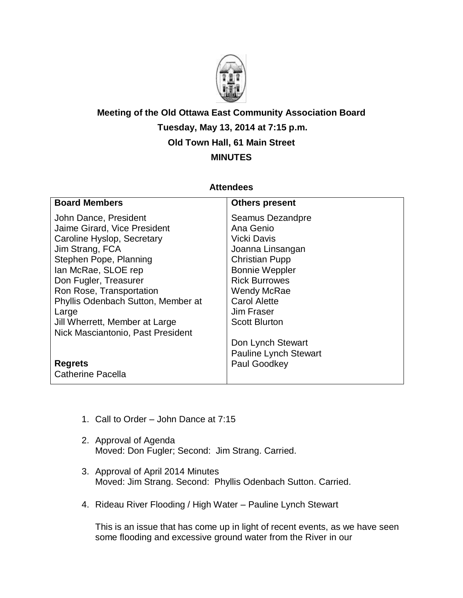

## **Meeting of the Old Ottawa East Community Association Board Tuesday, May 13, 2014 at 7:15 p.m. Old Town Hall, 61 Main Street MINUTES**

## **Attendees**

| <b>Board Members</b>               | <b>Others present</b>        |
|------------------------------------|------------------------------|
| John Dance, President              | Seamus Dezandpre             |
| Jaime Girard, Vice President       | Ana Genio                    |
| Caroline Hyslop, Secretary         | <b>Vicki Davis</b>           |
| Jim Strang, FCA                    | Joanna Linsangan             |
| Stephen Pope, Planning             | <b>Christian Pupp</b>        |
| lan McRae, SLOE rep                | <b>Bonnie Weppler</b>        |
| Don Fugler, Treasurer              | <b>Rick Burrowes</b>         |
| Ron Rose, Transportation           | <b>Wendy McRae</b>           |
| Phyllis Odenbach Sutton, Member at | <b>Carol Alette</b>          |
| Large                              | Jim Fraser                   |
| Jill Wherrett, Member at Large     | <b>Scott Blurton</b>         |
| Nick Masciantonio, Past President  |                              |
|                                    | Don Lynch Stewart            |
|                                    | <b>Pauline Lynch Stewart</b> |
| <b>Regrets</b>                     | Paul Goodkey                 |
| <b>Catherine Pacella</b>           |                              |
|                                    |                              |

- 1. Call to Order John Dance at 7:15
- 2. Approval of Agenda Moved: Don Fugler; Second: Jim Strang. Carried.
- 3. Approval of April 2014 Minutes Moved: Jim Strang. Second: Phyllis Odenbach Sutton. Carried.
- 4. Rideau River Flooding / High Water Pauline Lynch Stewart

This is an issue that has come up in light of recent events, as we have seen some flooding and excessive ground water from the River in our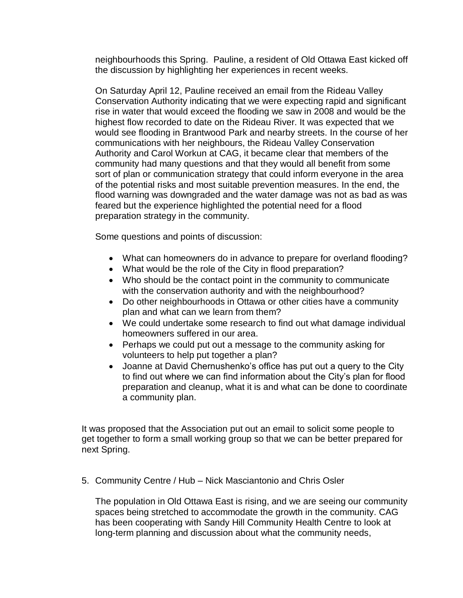neighbourhoods this Spring. Pauline, a resident of Old Ottawa East kicked off the discussion by highlighting her experiences in recent weeks.

On Saturday April 12, Pauline received an email from the Rideau Valley Conservation Authority indicating that we were expecting rapid and significant rise in water that would exceed the flooding we saw in 2008 and would be the highest flow recorded to date on the Rideau River. It was expected that we would see flooding in Brantwood Park and nearby streets. In the course of her communications with her neighbours, the Rideau Valley Conservation Authority and Carol Workun at CAG, it became clear that members of the community had many questions and that they would all benefit from some sort of plan or communication strategy that could inform everyone in the area of the potential risks and most suitable prevention measures. In the end, the flood warning was downgraded and the water damage was not as bad as was feared but the experience highlighted the potential need for a flood preparation strategy in the community.

Some questions and points of discussion:

- What can homeowners do in advance to prepare for overland flooding?
- What would be the role of the City in flood preparation?
- Who should be the contact point in the community to communicate with the conservation authority and with the neighbourhood?
- Do other neighbourhoods in Ottawa or other cities have a community plan and what can we learn from them?
- We could undertake some research to find out what damage individual homeowners suffered in our area.
- Perhaps we could put out a message to the community asking for volunteers to help put together a plan?
- Joanne at David Chernushenko's office has put out a query to the City to find out where we can find information about the City's plan for flood preparation and cleanup, what it is and what can be done to coordinate a community plan.

It was proposed that the Association put out an email to solicit some people to get together to form a small working group so that we can be better prepared for next Spring.

5. Community Centre / Hub – Nick Masciantonio and Chris Osler

The population in Old Ottawa East is rising, and we are seeing our community spaces being stretched to accommodate the growth in the community. CAG has been cooperating with Sandy Hill Community Health Centre to look at long-term planning and discussion about what the community needs,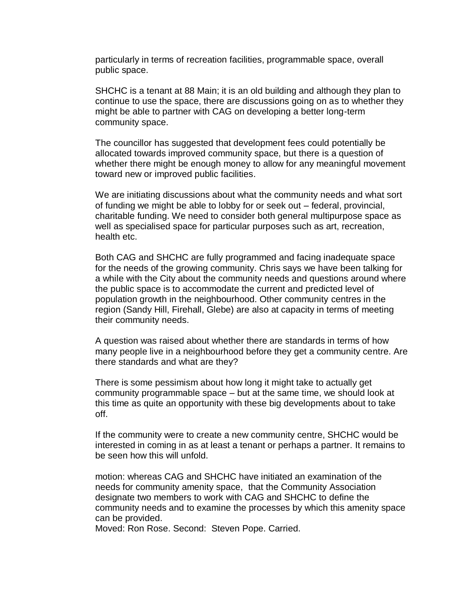particularly in terms of recreation facilities, programmable space, overall public space.

SHCHC is a tenant at 88 Main; it is an old building and although they plan to continue to use the space, there are discussions going on as to whether they might be able to partner with CAG on developing a better long-term community space.

The councillor has suggested that development fees could potentially be allocated towards improved community space, but there is a question of whether there might be enough money to allow for any meaningful movement toward new or improved public facilities.

We are initiating discussions about what the community needs and what sort of funding we might be able to lobby for or seek out – federal, provincial, charitable funding. We need to consider both general multipurpose space as well as specialised space for particular purposes such as art, recreation, health etc.

Both CAG and SHCHC are fully programmed and facing inadequate space for the needs of the growing community. Chris says we have been talking for a while with the City about the community needs and questions around where the public space is to accommodate the current and predicted level of population growth in the neighbourhood. Other community centres in the region (Sandy Hill, Firehall, Glebe) are also at capacity in terms of meeting their community needs.

A question was raised about whether there are standards in terms of how many people live in a neighbourhood before they get a community centre. Are there standards and what are they?

There is some pessimism about how long it might take to actually get community programmable space – but at the same time, we should look at this time as quite an opportunity with these big developments about to take off.

If the community were to create a new community centre, SHCHC would be interested in coming in as at least a tenant or perhaps a partner. It remains to be seen how this will unfold.

motion: whereas CAG and SHCHC have initiated an examination of the needs for community amenity space, that the Community Association designate two members to work with CAG and SHCHC to define the community needs and to examine the processes by which this amenity space can be provided.

Moved: Ron Rose. Second: Steven Pope. Carried.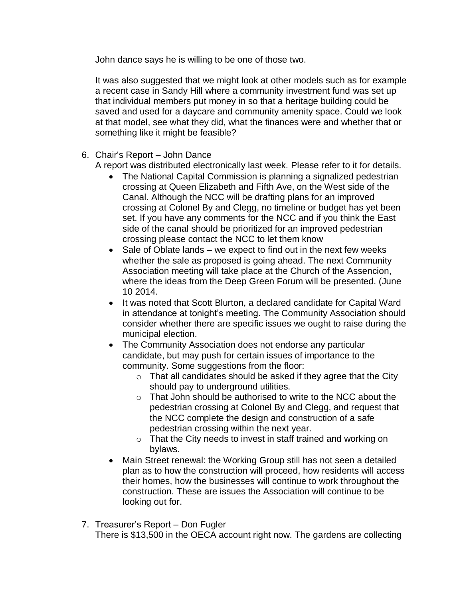John dance says he is willing to be one of those two.

It was also suggested that we might look at other models such as for example a recent case in Sandy Hill where a community investment fund was set up that individual members put money in so that a heritage building could be saved and used for a daycare and community amenity space. Could we look at that model, see what they did, what the finances were and whether that or something like it might be feasible?

6. Chair's Report – John Dance

A report was distributed electronically last week. Please refer to it for details.

- The National Capital Commission is planning a signalized pedestrian crossing at Queen Elizabeth and Fifth Ave, on the West side of the Canal. Although the NCC will be drafting plans for an improved crossing at Colonel By and Clegg, no timeline or budget has yet been set. If you have any comments for the NCC and if you think the East side of the canal should be prioritized for an improved pedestrian crossing please contact the NCC to let them know
- Sale of Oblate lands we expect to find out in the next few weeks whether the sale as proposed is going ahead. The next Community Association meeting will take place at the Church of the Assencion, where the ideas from the Deep Green Forum will be presented. (June 10 2014.
- It was noted that Scott Blurton, a declared candidate for Capital Ward in attendance at tonight's meeting. The Community Association should consider whether there are specific issues we ought to raise during the municipal election.
- The Community Association does not endorse any particular candidate, but may push for certain issues of importance to the community. Some suggestions from the floor:
	- $\circ$  That all candidates should be asked if they agree that the City should pay to underground utilities.
	- o That John should be authorised to write to the NCC about the pedestrian crossing at Colonel By and Clegg, and request that the NCC complete the design and construction of a safe pedestrian crossing within the next year.
	- o That the City needs to invest in staff trained and working on bylaws.
- Main Street renewal: the Working Group still has not seen a detailed plan as to how the construction will proceed, how residents will access their homes, how the businesses will continue to work throughout the construction. These are issues the Association will continue to be looking out for.
- 7. Treasurer's Report Don Fugler There is \$13,500 in the OECA account right now. The gardens are collecting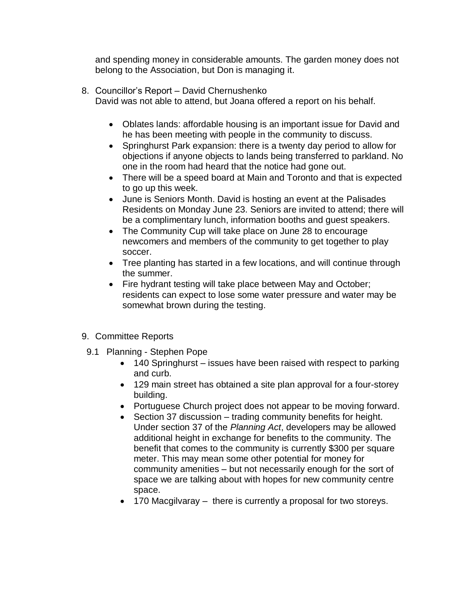and spending money in considerable amounts. The garden money does not belong to the Association, but Don is managing it.

- 8. Councillor's Report David Chernushenko
	- David was not able to attend, but Joana offered a report on his behalf.
		- Oblates lands: affordable housing is an important issue for David and he has been meeting with people in the community to discuss.
		- Springhurst Park expansion: there is a twenty day period to allow for objections if anyone objects to lands being transferred to parkland. No one in the room had heard that the notice had gone out.
		- There will be a speed board at Main and Toronto and that is expected to go up this week.
		- June is Seniors Month. David is hosting an event at the Palisades Residents on Monday June 23. Seniors are invited to attend; there will be a complimentary lunch, information booths and guest speakers.
		- The Community Cup will take place on June 28 to encourage newcomers and members of the community to get together to play soccer.
		- Tree planting has started in a few locations, and will continue through the summer.
		- Fire hydrant testing will take place between May and October; residents can expect to lose some water pressure and water may be somewhat brown during the testing.
- 9. Committee Reports
- 9.1 Planning Stephen Pope
	- 140 Springhurst issues have been raised with respect to parking and curb.
	- 129 main street has obtained a site plan approval for a four-storey building.
	- Portuguese Church project does not appear to be moving forward.
	- Section 37 discussion trading community benefits for height. Under section 37 of the *Planning Act*, developers may be allowed additional height in exchange for benefits to the community. The benefit that comes to the community is currently \$300 per square meter. This may mean some other potential for money for community amenities – but not necessarily enough for the sort of space we are talking about with hopes for new community centre space.
	- 170 Macgilvaray there is currently a proposal for two storeys.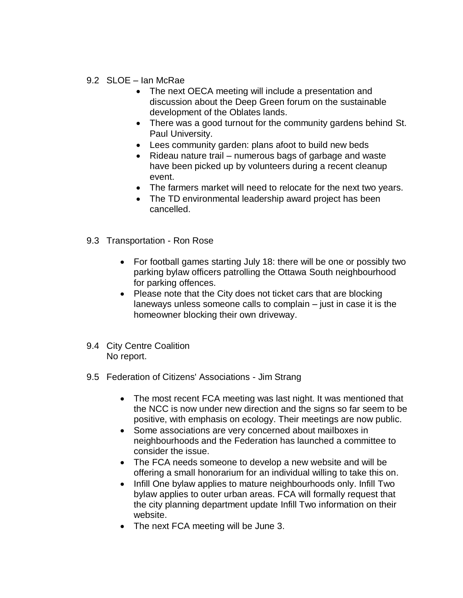## 9.2 SLOE - Ian McRae

- The next OECA meeting will include a presentation and discussion about the Deep Green forum on the sustainable development of the Oblates lands.
- There was a good turnout for the community gardens behind St. Paul University.
- Lees community garden: plans afoot to build new beds
- Rideau nature trail numerous bags of garbage and waste have been picked up by volunteers during a recent cleanup event.
- The farmers market will need to relocate for the next two years.
- The TD environmental leadership award project has been cancelled.
- 9.3 Transportation Ron Rose
	- For football games starting July 18: there will be one or possibly two parking bylaw officers patrolling the Ottawa South neighbourhood for parking offences.
	- Please note that the City does not ticket cars that are blocking laneways unless someone calls to complain – just in case it is the homeowner blocking their own driveway.
- 9.4 City Centre Coalition No report.
- 9.5 Federation of Citizens' Associations Jim Strang
	- The most recent FCA meeting was last night. It was mentioned that the NCC is now under new direction and the signs so far seem to be positive, with emphasis on ecology. Their meetings are now public.
	- Some associations are very concerned about mailboxes in neighbourhoods and the Federation has launched a committee to consider the issue.
	- The FCA needs someone to develop a new website and will be offering a small honorarium for an individual willing to take this on.
	- Infill One bylaw applies to mature neighbourhoods only. Infill Two bylaw applies to outer urban areas. FCA will formally request that the city planning department update Infill Two information on their website.
	- The next FCA meeting will be June 3.